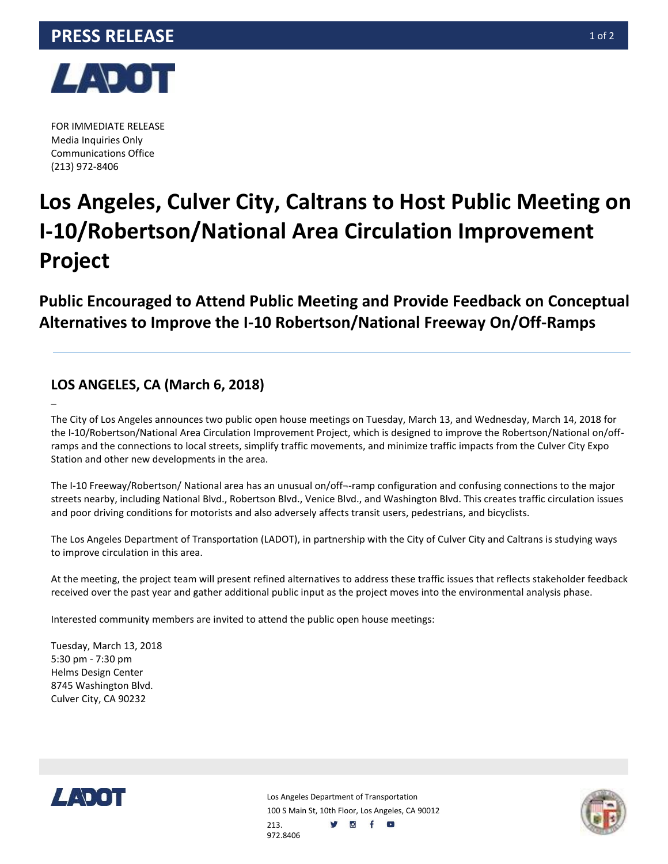

FOR IMMEDIATE RELEASE Media Inquiries Only Communications Office (213) 972-8406

–

# **Los Angeles, Culver City, Caltrans to Host Public Meeting on I-10/Robertson/National Area Circulation Improvement Project**

**Public Encouraged to Attend Public Meeting and Provide Feedback on Conceptual Alternatives to Improve the I-10 Robertson/National Freeway On/Off-Ramps**

### **LOS ANGELES, CA (March 6, 2018)**

The City of Los Angeles announces two public open house meetings on Tuesday, March 13, and Wednesday, March 14, 2018 for the I-10/Robertson/National Area Circulation Improvement Project, which is designed to improve the Robertson/National on/offramps and the connections to local streets, simplify traffic movements, and minimize traffic impacts from the Culver City Expo Station and other new developments in the area.

The I-10 Freeway/Robertson/ National area has an unusual on/off¬-ramp configuration and confusing connections to the major streets nearby, including National Blvd., Robertson Blvd., Venice Blvd., and Washington Blvd. This creates traffic circulation issues and poor driving conditions for motorists and also adversely affects transit users, pedestrians, and bicyclists.

The Los Angeles Department of Transportation (LADOT), in partnership with the City of Culver City and Caltrans is studying ways to improve circulation in this area.

At the meeting, the project team will present refined alternatives to address these traffic issues that reflects stakeholder feedback received over the past year and gather additional public input as the project moves into the environmental analysis phase.

Interested community members are invited to attend the public open house meetings:

Tuesday, March 13, 2018 5:30 pm - 7:30 pm Helms Design Center 8745 Washington Blvd. Culver City, CA 90232



Los Angeles Department of Transportation 100 S Main St, 10th Floor, Los Angeles, CA 90012 y of o 213. 972.8406